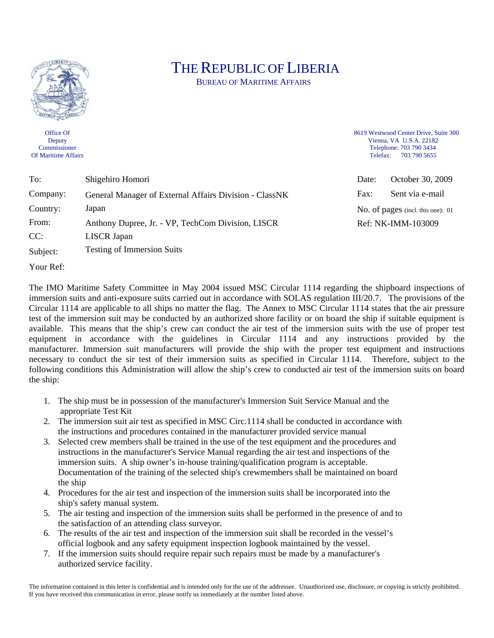

Office Of **Deputy** Commissioner Of Maritime Affairs

## THE REPUBLIC OF LIBERIA

BUREAU OF MARITIME AFFAIRS

8619 Westwood Center Drive, Suite 300 Vienna, VA U.S.A. 22182 Telephone: 703 790 3434 Telefax: 703 790 5655

| To:      | Shigehiro Homori                                       | Date:                             | October 30, 2009 |
|----------|--------------------------------------------------------|-----------------------------------|------------------|
| Company: | General Manager of External Affairs Division - ClassNK | Fax:                              | Sent via e-mail  |
| Country: | Japan                                                  | No. of pages (incl. this one): 01 |                  |
| From:    | Anthony Dupree, Jr. - VP, TechCom Division, LISCR      | Ref: NK-IMM-103009                |                  |
| CC:      | <b>LISCR</b> Japan                                     |                                   |                  |
| Subject: | <b>Testing of Immersion Suits</b>                      |                                   |                  |
| Your Ref |                                                        |                                   |                  |

The IMO Maritime Safety Committee in May 2004 issued MSC Circular 1114 regarding the shipboard inspections of immersion suits and anti-exposure suits carried out in accordance with SOLAS regulation III/20.7. The provisions of the Circular 1114 are applicable to all ships no matter the flag. The Annex to MSC Circular 1114 states that the air pressure test of the immersion suit may be conducted by an authorized shore facility or on board the ship if suitable equipment is available. This means that the ship's crew can conduct the air test of the immersion suits with the use of proper test equipment in accordance with the guidelines in Circular 1114 and any instructions provided by the manufacturer. Immersion suit manufacturers will provide the ship with the proper test equipment and instructions necessary to conduct the sir test of their immersion suits as specified in Circular 1114. Therefore, subject to the following conditions this Administration will allow the ship's crew to conducted air test of the immersion suits on board the ship:

- 1. The ship must be in possession of the manufacturer's Immersion Suit Service Manual and the appropriate Test Kit
- 2. The immersion suit air test as specified in MSC Circ.1114 shall be conducted in accordance with the instructions and procedures contained in the manufacturer provided service manual
- 3. Selected crew members shall be trained in the use of the test equipment and the procedures and instructions in the manufacturer's Service Manual regarding the air test and inspections of the immersion suits. A ship owner's in-house training/qualification program is acceptable. Documentation of the training of the selected ship's crewmembers shall be maintained on board the ship
- 4. Procedures for the air test and inspection of the immersion suits shall be incorporated into the ship's safety manual system.
- 5. The air testing and inspection of the immersion suits shall be performed in the presence of and to the satisfaction of an attending class surveyor.
- 6. The results of the air test and inspection of the immersion suit shall be recorded in the vessel's official logbook and any safety equipment inspection logbook maintained by the vessel.
- 7. If the immersion suits should require repair such repairs must be made by a manufacturer's authorized service facility.